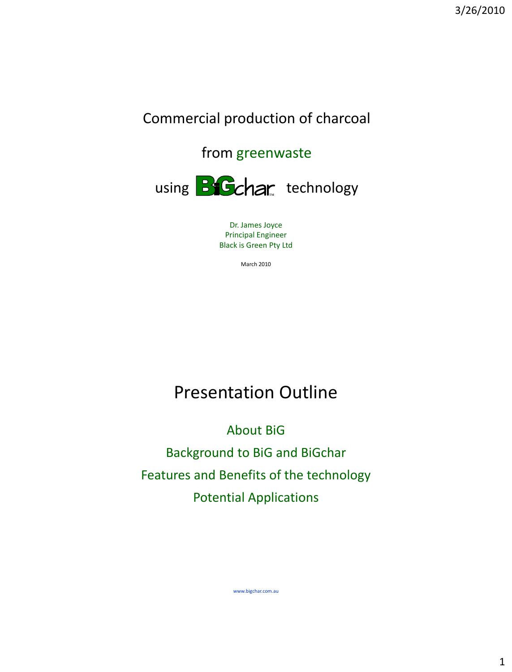## Commercial production of charcoal

## from greenwaste



Dr. James Joyce Principal Engineer Black is Green Pty Ltd

March 2010

## Presentation Outline

About BiG Background to BiG and BiGchar Features and Benefits of the technology Potential Applications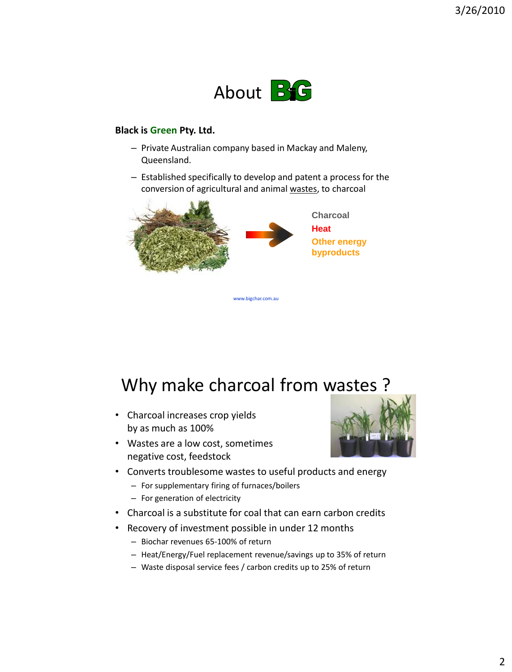

#### **Black is Green Pty. Ltd.**

- Private Australian company based in Mackay and Maleny, Queensland.
- Established specifically to develop and patent a process for the conversion of agricultural and animal wastes, to charcoal



## Why make charcoal from wastes ?

- Charcoal increases crop yields by as much as 100%
- Wastes are a low cost, sometimes negative cost, feedstock



- Converts troublesome wastes to useful products and energy
	- For supplementary firing of furnaces/boilers
	- For generation of electricity
- Charcoal is a substitute for coal that can earn carbon credits
- Recovery of investment possible in under 12 months
	- Biochar revenues 65-100% of return
	- Heat/Energy/Fuel replacement revenue/savings up to 35% of return
	- Waste disposal service fees / carbon credits up to 25% of return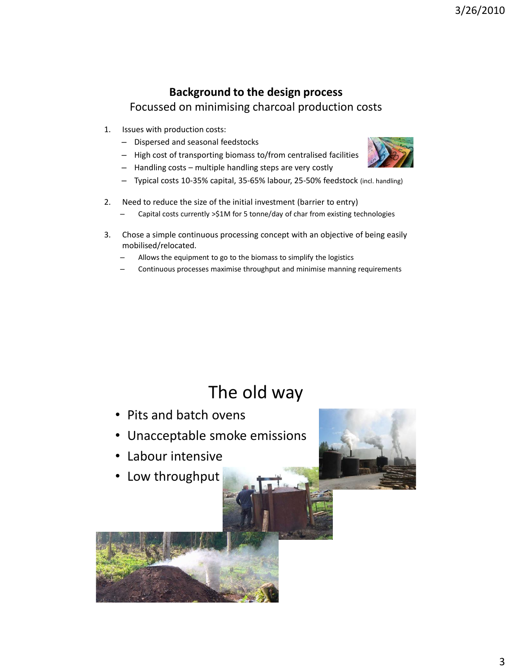### **Background to the design process** Focussed on minimising charcoal production costs

- 1. Issues with production costs:
	- Dispersed and seasonal feedstocks
	- High cost of transporting biomass to/from centralised facilities
	- Handling costs multiple handling steps are very costly
	- Typical costs 10-35% capital, 35-65% labour, 25-50% feedstock (incl. handling)
- 2. Need to reduce the size of the initial investment (barrier to entry)
	- Capital costs currently >\$1M for 5 tonne/day of char from existing technologies
- 3. Chose a simple continuous processing concept with an objective of being easily mobilised/relocated.
	- Allows the equipment to go to the biomass to simplify the logistics
	- Continuous processes maximise throughput and minimise manning requirements

## The old way

- Pits and batch ovens
- Unacceptable smoke emissions
- Labour intensive
- Low throughput



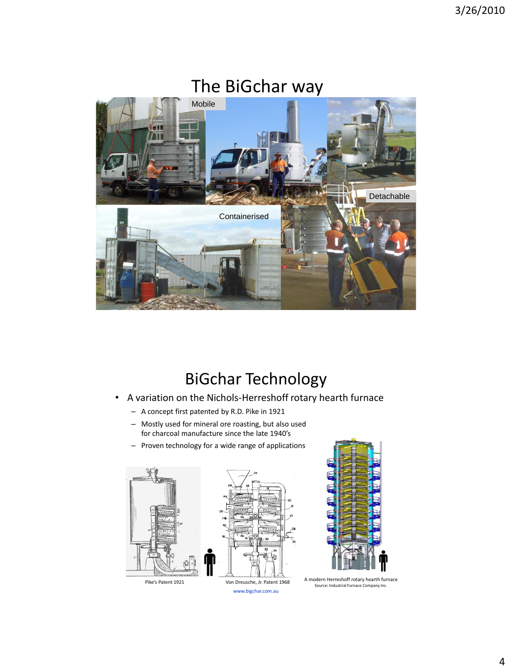

## BiGchar Technology

- A variation on the Nichols-Herreshoff rotary hearth furnace
	- A concept first patented by R.D. Pike in 1921
	- Mostly used for mineral ore roasting, but also used for charcoal manufacture since the late 1940's
	- Proven technology for a wide range of applications

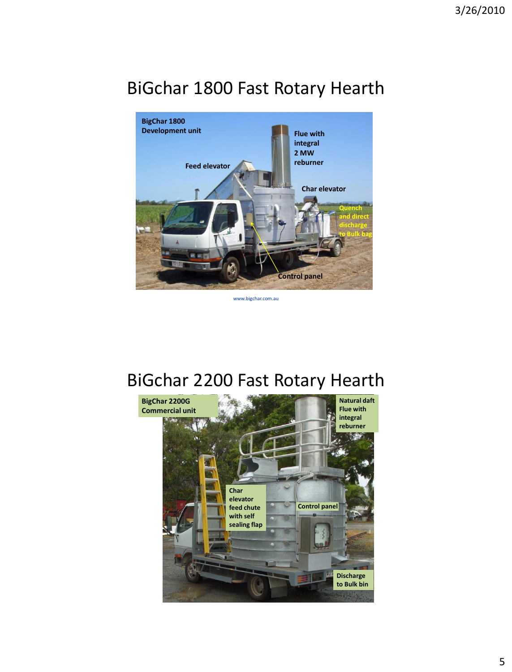# BiGchar 1800 Fast Rotary Hearth



www.bigchar.com.au

## BiGchar 2200 Fast Rotary Hearth

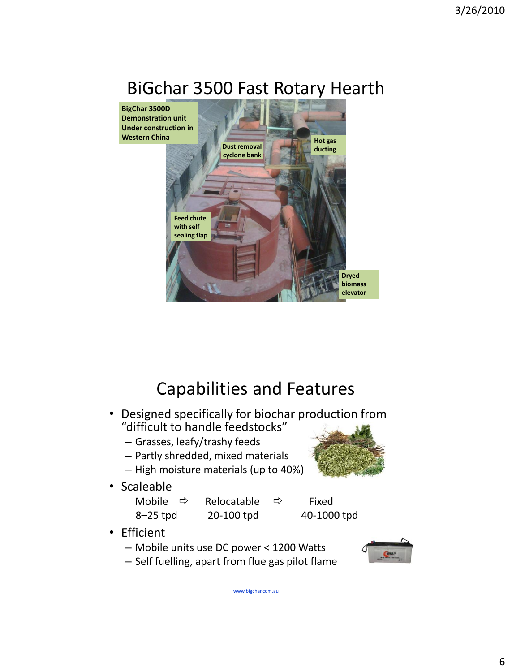## BiGchar 3500 Fast Rotary Hearth



## Capabilities and Features

- Designed specifically for biochar production from "difficult to handle feedstocks"
	- Grasses, leafy/trashy feeds
	- Partly shredded, mixed materials
	- High moisture materials (up to 40%)
- Scaleable

Mobile  $\Rightarrow$  Relocatable  $\Rightarrow$  Fixed 8–25 tpd 20-100 tpd 40-1000 tpd

- Efficient
	- Mobile units use DC power < 1200 Watts
	- Self fuelling, apart from flue gas pilot flame

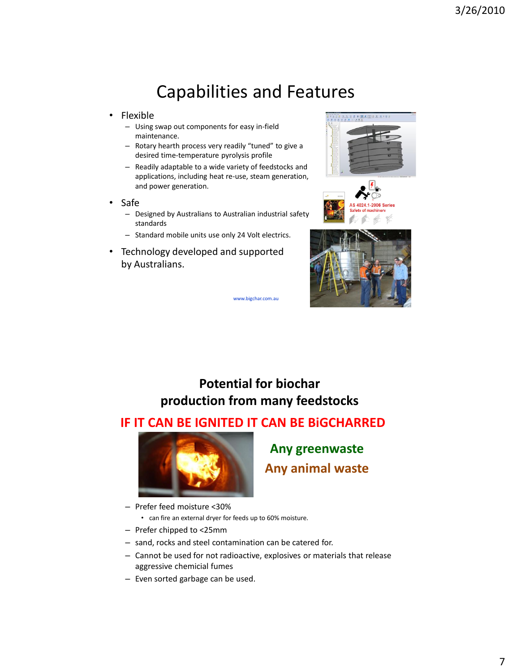## Capabilities and Features

- Flexible
	- Using swap out components for easy in-field maintenance.
	- Rotary hearth process very readily "tuned" to give a desired time-temperature pyrolysis profile
	- Readily adaptable to a wide variety of feedstocks and applications, including heat re-use, steam generation, and power generation.
- Safe
	- Designed by Australians to Australian industrial safety standards
	- Standard mobile units use only 24 Volt electrics.
- Technology developed and supported by Australians.







www.bigchar.com.au

### **Potential for biochar production from many feedstocks**

### **IF IT CAN BE IGNITED IT CAN BE BiGCHARRED**



**Any greenwaste Any animal waste**

- Prefer feed moisture <30%
	- can fire an external dryer for feeds up to 60% moisture.
- Prefer chipped to <25mm
- sand, rocks and steel contamination can be catered for.
- Cannot be used for not radioactive, explosives or materials that release aggressive chemicial fumes
- Even sorted garbage can be used.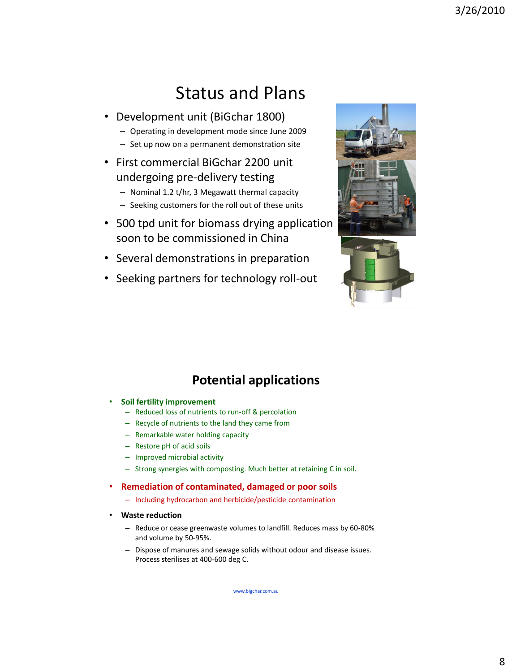## Status and Plans

- Development unit (BiGchar 1800)
	- Operating in development mode since June 2009
	- Set up now on a permanent demonstration site
- First commercial BiGchar 2200 unit undergoing pre-delivery testing
	- Nominal 1.2 t/hr, 3 Megawatt thermal capacity
	- Seeking customers for the roll out of these units
- 500 tpd unit for biomass drying application soon to be commissioned in China
- Several demonstrations in preparation
- Seeking partners for technology roll-out





### **Potential applications**

- **Soil fertility improvement**
	- Reduced loss of nutrients to run-off & percolation
	- Recycle of nutrients to the land they came from
	- Remarkable water holding capacity
	- Restore pH of acid soils
	- Improved microbial activity
	- Strong synergies with composting. Much better at retaining C in soil.

#### • **Remediation of contaminated, damaged or poor soils**

- Including hydrocarbon and herbicide/pesticide contamination
- **Waste reduction**
	- Reduce or cease greenwaste volumes to landfill. Reduces mass by 60-80% and volume by 50-95%.
	- Dispose of manures and sewage solids without odour and disease issues. Process sterilises at 400-600 deg C.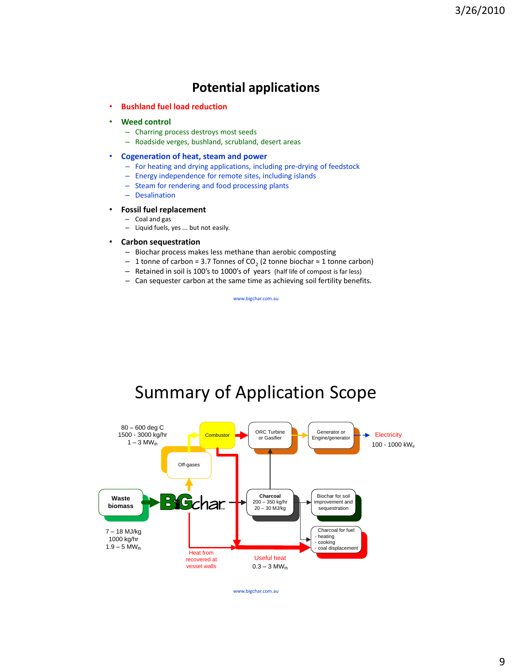### **Potential applications**

• **Bushland fuel load reduction**

#### • **Weed control**

- Charring process destroys most seeds
- Roadside verges, bushland, scrubland, desert areas

#### • **Cogeneration of heat, steam and power**

- For heating and drying applications, including pre-drying of feedstock
- Energy independence for remote sites, including islands
- Steam for rendering and food processing plants
- Desalination

#### • **Fossil fuel replacement**

– Coal and gas – Liquid fuels, yes ... but not easily.

#### • **Carbon sequestration**

- Biochar process makes less methane than aerobic composting
- $-$  1 tonne of carbon = 3.7 Tonnes of CO<sub>2</sub> (2 tonne biochar ≈ 1 tonne carbon)
- Retained in soil is 100's to 1000's of years (half life of compost is far less)
- Can sequester carbon at the same time as achieving soil fertility benefits.

www.bigchar.com.au

## Summary of Application Scope